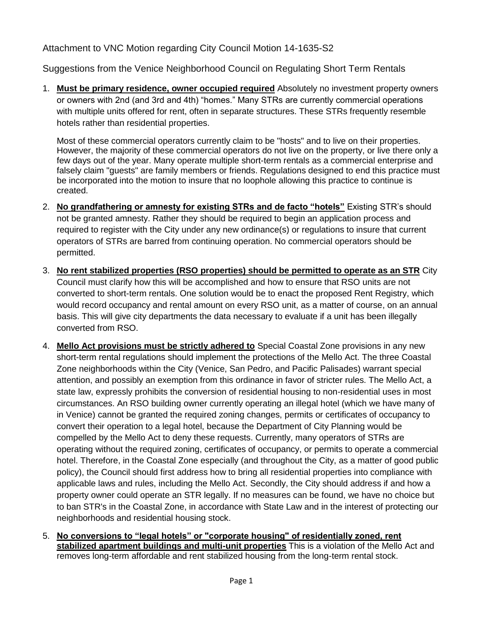Attachment to VNC Motion regarding City Council Motion 14-1635-S2

Suggestions from the Venice Neighborhood Council on Regulating Short Term Rentals

1. **Must be primary residence, owner occupied required** Absolutely no investment property owners or owners with 2nd (and 3rd and 4th) "homes." Many STRs are currently commercial operations with multiple units offered for rent, often in separate structures. These STRs frequently resemble hotels rather than residential properties.

Most of these commercial operators currently claim to be "hosts" and to live on their properties. However, the majority of these commercial operators do not live on the property, or live there only a few days out of the year. Many operate multiple short-term rentals as a commercial enterprise and falsely claim "guests" are family members or friends. Regulations designed to end this practice must be incorporated into the motion to insure that no loophole allowing this practice to continue is created.

- 2. **No grandfathering or amnesty for existing STRs and de facto "hotels"** Existing STR's should not be granted amnesty. Rather they should be required to begin an application process and required to register with the City under any new ordinance(s) or regulations to insure that current operators of STRs are barred from continuing operation. No commercial operators should be permitted.
- 3. **No rent stabilized properties (RSO properties) should be permitted to operate as an STR** City Council must clarify how this will be accomplished and how to ensure that RSO units are not converted to short-term rentals. One solution would be to enact the proposed Rent Registry, which would record occupancy and rental amount on every RSO unit, as a matter of course, on an annual basis. This will give city departments the data necessary to evaluate if a unit has been illegally converted from RSO.
- 4. **Mello Act provisions must be strictly adhered to** Special Coastal Zone provisions in any new short-term rental regulations should implement the protections of the Mello Act. The three Coastal Zone neighborhoods within the City (Venice, San Pedro, and Pacific Palisades) warrant special attention, and possibly an exemption from this ordinance in favor of stricter rules. The Mello Act, a state law, expressly prohibits the conversion of residential housing to non-residential uses in most circumstances. An RSO building owner currently operating an illegal hotel (which we have many of in Venice) cannot be granted the required zoning changes, permits or certificates of occupancy to convert their operation to a legal hotel, because the Department of City Planning would be compelled by the Mello Act to deny these requests. Currently, many operators of STRs are operating without the required zoning, certificates of occupancy, or permits to operate a commercial hotel. Therefore, in the Coastal Zone especially (and throughout the City, as a matter of good public policy), the Council should first address how to bring all residential properties into compliance with applicable laws and rules, including the Mello Act. Secondly, the City should address if and how a property owner could operate an STR legally. If no measures can be found, we have no choice but to ban STR's in the Coastal Zone, in accordance with State Law and in the interest of protecting our neighborhoods and residential housing stock.
- 5. **No conversions to "legal hotels" or "corporate housing" of residentially zoned, rent stabilized apartment buildings and multi-unit properties** This is a violation of the Mello Act and removes long-term affordable and rent stabilized housing from the long-term rental stock.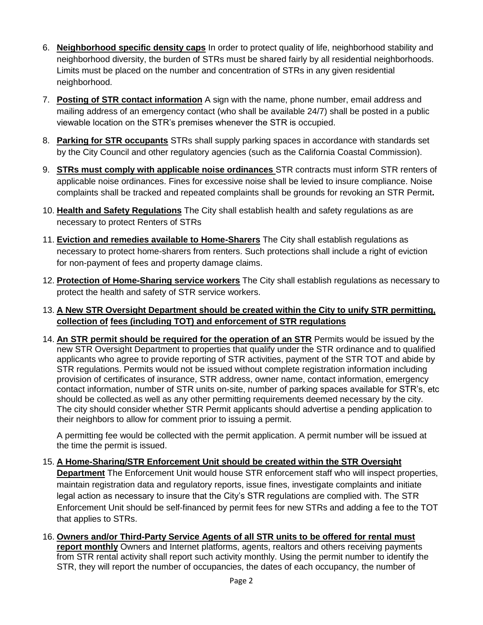- 6. **Neighborhood specific density caps** In order to protect quality of life, neighborhood stability and neighborhood diversity, the burden of STRs must be shared fairly by all residential neighborhoods. Limits must be placed on the number and concentration of STRs in any given residential neighborhood.
- 7. **Posting of STR contact information** A sign with the name, phone number, email address and mailing address of an emergency contact (who shall be available 24/7) shall be posted in a public viewable location on the STR's premises whenever the STR is occupied.
- 8. **Parking for STR occupants** STRs shall supply parking spaces in accordance with standards set by the City Council and other regulatory agencies (such as the California Coastal Commission).
- 9. **STRs must comply with applicable noise ordinances** STR contracts must inform STR renters of applicable noise ordinances. Fines for excessive noise shall be levied to insure compliance. Noise complaints shall be tracked and repeated complaints shall be grounds for revoking an STR Permit**.**
- 10. **Health and Safety Regulations** The City shall establish health and safety regulations as are necessary to protect Renters of STRs
- 11. **Eviction and remedies available to Home-Sharers** The City shall establish regulations as necessary to protect home-sharers from renters. Such protections shall include a right of eviction for non-payment of fees and property damage claims.
- 12. **Protection of Home-Sharing service workers** The City shall establish regulations as necessary to protect the health and safety of STR service workers.
- 13. **A New STR Oversight Department should be created within the City to unify STR permitting, collection of fees (including TOT) and enforcement of STR regulations**
- 14. **An STR permit should be required for the operation of an STR** Permits would be issued by the new STR Oversight Department to properties that qualify under the STR ordinance and to qualified applicants who agree to provide reporting of STR activities, payment of the STR TOT and abide by STR regulations. Permits would not be issued without complete registration information including provision of certificates of insurance, STR address, owner name, contact information, emergency contact information, number of STR units on-site, number of parking spaces available for STR's, etc should be collected.as well as any other permitting requirements deemed necessary by the city. The city should consider whether STR Permit applicants should advertise a pending application to their neighbors to allow for comment prior to issuing a permit.

A permitting fee would be collected with the permit application. A permit number will be issued at the time the permit is issued.

- 15. **A Home-Sharing/STR Enforcement Unit should be created within the STR Oversight Department** The Enforcement Unit would house STR enforcement staff who will inspect properties, maintain registration data and regulatory reports, issue fines, investigate complaints and initiate legal action as necessary to insure that the City's STR regulations are complied with. The STR Enforcement Unit should be self-financed by permit fees for new STRs and adding a fee to the TOT that applies to STRs.
- 16. **Owners and/or Third-Party Service Agents of all STR units to be offered for rental must report monthly** Owners and Internet platforms, agents, realtors and others receiving payments from STR rental activity shall report such activity monthly. Using the permit number to identify the STR, they will report the number of occupancies, the dates of each occupancy, the number of